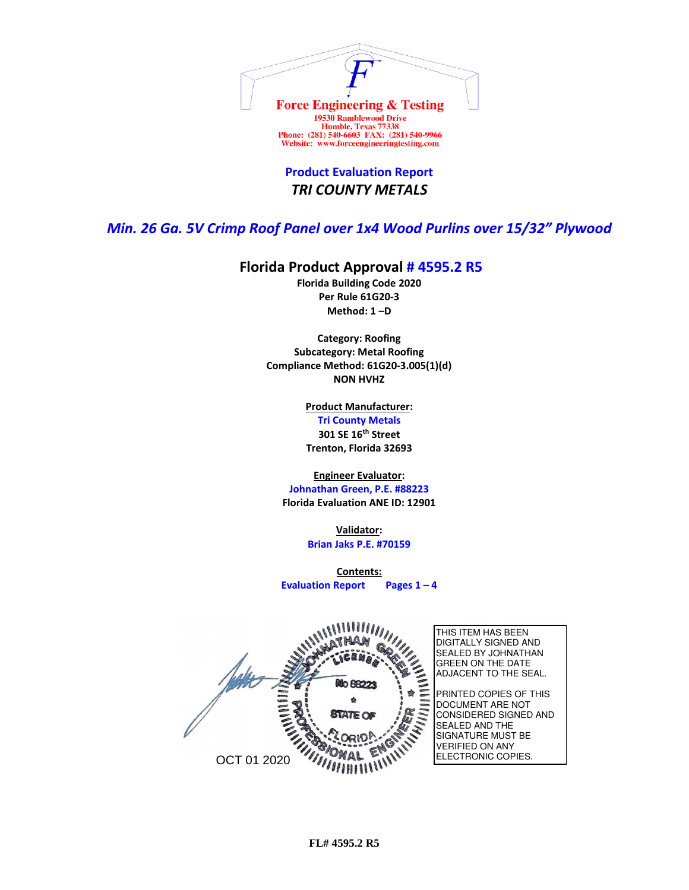

**Product Evaluation Report** *TRI COUNTY METALS*

*Min. 26 Ga. 5V Crimp Roof Panel over 1x4 Wood Purlins over 15/32" Plywood*

## **Florida Product Approval # 4595.2 R5**

**Florida Building Code 2020 Per Rule 61G20-3 Method: 1 –D** 

**Category: Roofing Subcategory: Metal Roofing Compliance Method: 61G20-3.005(1)(d) NON HVHZ**

> **Product Manufacturer: Tri County Metals 301 SE 16th Street Trenton, Florida 32693**

**Engineer Evaluator:**

**Johnathan Green, P.E. #88223 Florida Evaluation ANE ID: 12901**

> **Validator: Brian Jaks P.E. #70159**

**Contents: Evaluation Report Pages 1 – 4**

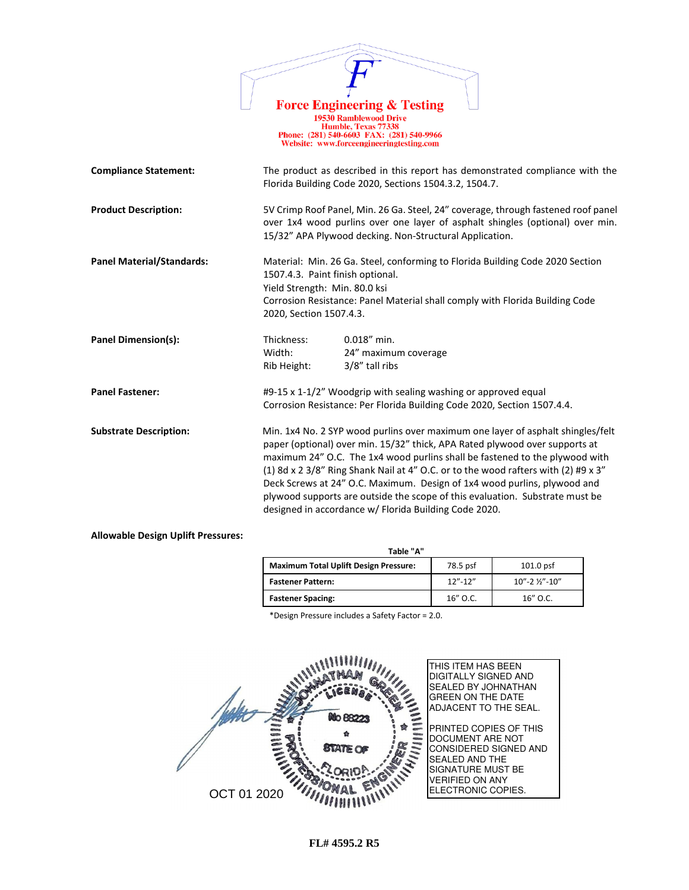|                                  |                                                                                              | <b>Force Engineering &amp; Testing</b><br><b>19530 Ramblewood Drive</b><br>Humble, Texas 77338<br>Phone: (281) 540-6603 FAX: (281) 540-9966<br>Website: www.forceengineeringtesting.com                                                                                                                                                                                                                                                                                                                                                                  |
|----------------------------------|----------------------------------------------------------------------------------------------|----------------------------------------------------------------------------------------------------------------------------------------------------------------------------------------------------------------------------------------------------------------------------------------------------------------------------------------------------------------------------------------------------------------------------------------------------------------------------------------------------------------------------------------------------------|
| <b>Compliance Statement:</b>     |                                                                                              | The product as described in this report has demonstrated compliance with the<br>Florida Building Code 2020, Sections 1504.3.2, 1504.7.                                                                                                                                                                                                                                                                                                                                                                                                                   |
| <b>Product Description:</b>      |                                                                                              | 5V Crimp Roof Panel, Min. 26 Ga. Steel, 24" coverage, through fastened roof panel<br>over 1x4 wood purlins over one layer of asphalt shingles (optional) over min.<br>15/32" APA Plywood decking. Non-Structural Application.                                                                                                                                                                                                                                                                                                                            |
| <b>Panel Material/Standards:</b> | 1507.4.3. Paint finish optional.<br>Yield Strength: Min. 80.0 ksi<br>2020, Section 1507.4.3. | Material: Min. 26 Ga. Steel, conforming to Florida Building Code 2020 Section<br>Corrosion Resistance: Panel Material shall comply with Florida Building Code                                                                                                                                                                                                                                                                                                                                                                                            |
| <b>Panel Dimension(s):</b>       | Thickness:<br>Width:<br>Rib Height:                                                          | $0.018''$ min.<br>24" maximum coverage<br>3/8" tall ribs                                                                                                                                                                                                                                                                                                                                                                                                                                                                                                 |
| <b>Panel Fastener:</b>           |                                                                                              | #9-15 x 1-1/2" Woodgrip with sealing washing or approved equal<br>Corrosion Resistance: Per Florida Building Code 2020, Section 1507.4.4.                                                                                                                                                                                                                                                                                                                                                                                                                |
| <b>Substrate Description:</b>    |                                                                                              | Min. 1x4 No. 2 SYP wood purlins over maximum one layer of asphalt shingles/felt<br>paper (optional) over min. 15/32" thick, APA Rated plywood over supports at<br>maximum 24" O.C. The 1x4 wood purlins shall be fastened to the plywood with<br>(1) 8d x 2 3/8" Ring Shank Nail at 4" O.C. or to the wood rafters with (2) #9 x 3"<br>Deck Screws at 24" O.C. Maximum. Design of 1x4 wood purlins, plywood and<br>plywood supports are outside the scope of this evaluation. Substrate must be<br>designed in accordance w/ Florida Building Code 2020. |

## **Allowable Design Uplift Pressures:**

| Table "A"                                    |             |                     |  |  |
|----------------------------------------------|-------------|---------------------|--|--|
| <b>Maximum Total Uplift Design Pressure:</b> | 78.5 psf    | $101.0$ psf         |  |  |
| <b>Fastener Pattern:</b>                     | $12" - 12"$ | $10" - 2$ %" $-10"$ |  |  |
| <b>Fastener Spacing:</b>                     | $16''$ O.C. | $16''$ O.C.         |  |  |

\*Design Pressure includes a Safety Factor = 2.0.

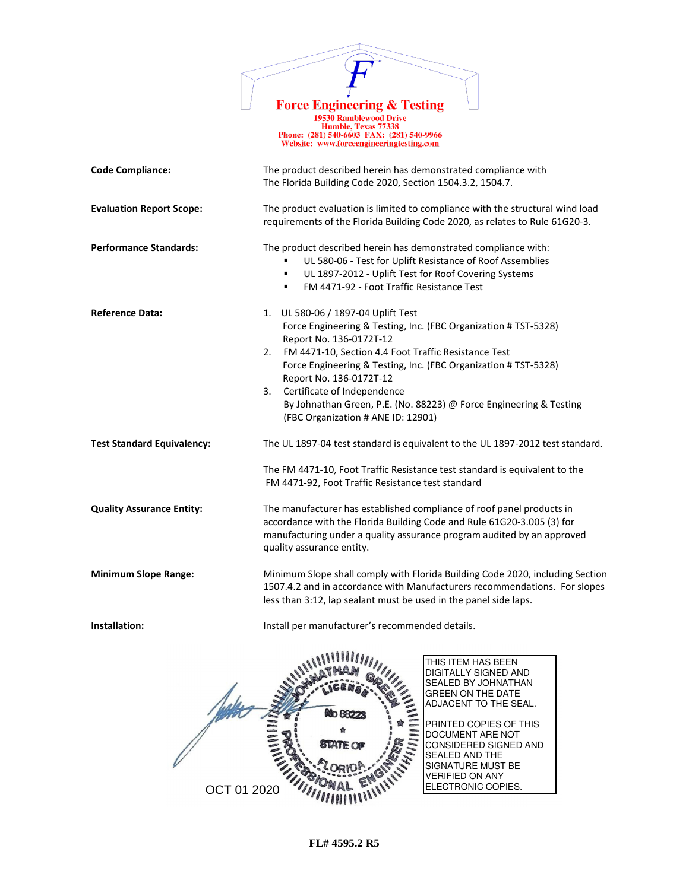

Force Engineering & Testing<br>
19530 Ramblewood Drive<br>
Humble, Texas 77338<br>
Phone: (281) 540-6603 FAX: (281) 540-9966<br>
Website: www.forceengineeringtesting.com

| <b>Code Compliance:</b>           | The product described herein has demonstrated compliance with<br>The Florida Building Code 2020, Section 1504.3.2, 1504.7.                                                                                                                                                                                                                                                                                                                    |  |  |  |
|-----------------------------------|-----------------------------------------------------------------------------------------------------------------------------------------------------------------------------------------------------------------------------------------------------------------------------------------------------------------------------------------------------------------------------------------------------------------------------------------------|--|--|--|
| <b>Evaluation Report Scope:</b>   | The product evaluation is limited to compliance with the structural wind load<br>requirements of the Florida Building Code 2020, as relates to Rule 61G20-3.                                                                                                                                                                                                                                                                                  |  |  |  |
| <b>Performance Standards:</b>     | The product described herein has demonstrated compliance with:<br>UL 580-06 - Test for Uplift Resistance of Roof Assemblies<br>UL 1897-2012 - Uplift Test for Roof Covering Systems<br>٠<br>FM 4471-92 - Foot Traffic Resistance Test<br>٠                                                                                                                                                                                                    |  |  |  |
| <b>Reference Data:</b>            | 1. UL 580-06 / 1897-04 Uplift Test<br>Force Engineering & Testing, Inc. (FBC Organization # TST-5328)<br>Report No. 136-0172T-12<br>FM 4471-10, Section 4.4 Foot Traffic Resistance Test<br>2.<br>Force Engineering & Testing, Inc. (FBC Organization # TST-5328)<br>Report No. 136-0172T-12<br>Certificate of Independence<br>3.<br>By Johnathan Green, P.E. (No. 88223) @ Force Engineering & Testing<br>(FBC Organization # ANE ID: 12901) |  |  |  |
| <b>Test Standard Equivalency:</b> | The UL 1897-04 test standard is equivalent to the UL 1897-2012 test standard.<br>The FM 4471-10, Foot Traffic Resistance test standard is equivalent to the<br>FM 4471-92, Foot Traffic Resistance test standard                                                                                                                                                                                                                              |  |  |  |
| <b>Quality Assurance Entity:</b>  | The manufacturer has established compliance of roof panel products in<br>accordance with the Florida Building Code and Rule 61G20-3.005 (3) for<br>manufacturing under a quality assurance program audited by an approved<br>quality assurance entity.                                                                                                                                                                                        |  |  |  |
| <b>Minimum Slope Range:</b>       | Minimum Slope shall comply with Florida Building Code 2020, including Section<br>1507.4.2 and in accordance with Manufacturers recommendations. For slopes<br>less than 3:12, lap sealant must be used in the panel side laps.                                                                                                                                                                                                                |  |  |  |
| Installation:                     | Install per manufacturer's recommended details.                                                                                                                                                                                                                                                                                                                                                                                               |  |  |  |
|                                   | THIS ITEM HAS BEEN<br>DIGITALLY SIGNED AND<br>SEALED BY JOHNATHAN<br><b>GREEN ON THE DATE</b><br>ADJACENT TO THE SEAL.<br>NO 882<br>PRINTED COPIES OF THIS<br>DOCUMENT ARE NOT<br><b>STATE OF</b><br>CONSIDERED SIGNED AND<br><b>SEALED AND THE</b><br>SIGNATURE MUST BE<br><b>VERIFIED ON ANY</b>                                                                                                                                            |  |  |  |

ELECTRONIC COPIES.

OCT 01 2020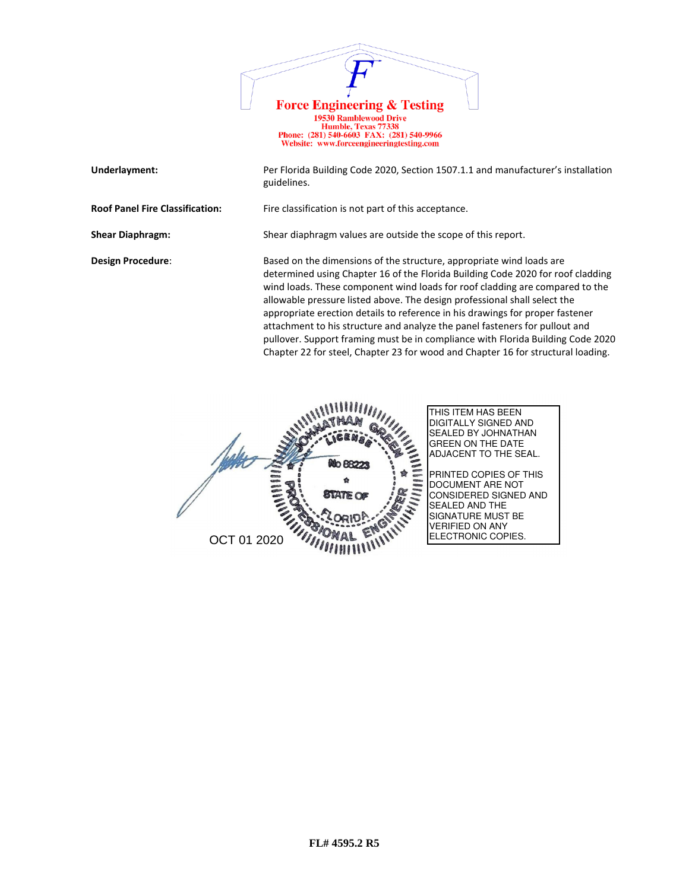

| Underlayment:                          | Per Florida Building Code 2020, Section 1507.1.1 and manufacturer's installation<br>guidelines.                                                                                                                                                                                                                                                                                                                                                                                                                                                                                                                                                             |
|----------------------------------------|-------------------------------------------------------------------------------------------------------------------------------------------------------------------------------------------------------------------------------------------------------------------------------------------------------------------------------------------------------------------------------------------------------------------------------------------------------------------------------------------------------------------------------------------------------------------------------------------------------------------------------------------------------------|
| <b>Roof Panel Fire Classification:</b> | Fire classification is not part of this acceptance.                                                                                                                                                                                                                                                                                                                                                                                                                                                                                                                                                                                                         |
| <b>Shear Diaphragm:</b>                | Shear diaphragm values are outside the scope of this report.                                                                                                                                                                                                                                                                                                                                                                                                                                                                                                                                                                                                |
| <b>Design Procedure:</b>               | Based on the dimensions of the structure, appropriate wind loads are<br>determined using Chapter 16 of the Florida Building Code 2020 for roof cladding<br>wind loads. These component wind loads for roof cladding are compared to the<br>allowable pressure listed above. The design professional shall select the<br>appropriate erection details to reference in his drawings for proper fastener<br>attachment to his structure and analyze the panel fasteners for pullout and<br>pullover. Support framing must be in compliance with Florida Building Code 2020<br>Chapter 22 for steel, Chapter 23 for wood and Chapter 16 for structural loading. |